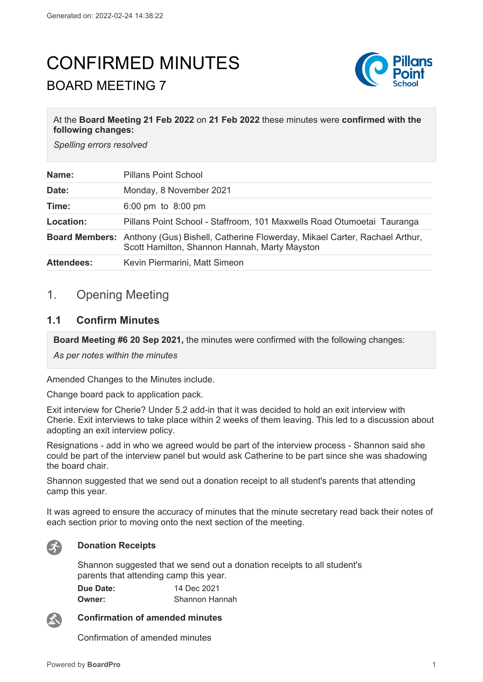# CONFIRMED MINUTES BOARD MEETING 7



#### At the **Board Meeting 21 Feb 2022** on **21 Feb 2022** these minutes were **confirmed with the following changes:**

*Spelling errors resolved*

| Name:             | <b>Pillans Point School</b>                                                                                                                       |
|-------------------|---------------------------------------------------------------------------------------------------------------------------------------------------|
| Date:             | Monday, 8 November 2021                                                                                                                           |
| Time:             | 6:00 pm to $8:00$ pm                                                                                                                              |
| Location:         | Pillans Point School - Staffroom, 101 Maxwells Road Otumoetai Tauranga                                                                            |
|                   | <b>Board Members:</b> Anthony (Gus) Bishell, Catherine Flowerday, Mikael Carter, Rachael Arthur,<br>Scott Hamilton, Shannon Hannah, Marty Mayston |
| <b>Attendees:</b> | Kevin Piermarini, Matt Simeon                                                                                                                     |

# 1. Opening Meeting

#### **1.1 Confirm Minutes**

**Board Meeting #6 20 Sep 2021,** the minutes were confirmed with the following changes:

*As per notes within the minutes* 

Amended Changes to the Minutes include.

Change board pack to application pack.

Exit interview for Cherie? Under 5.2 add-in that it was decided to hold an exit interview with Cherie. Exit interviews to take place within 2 weeks of them leaving. This led to a discussion about adopting an exit interview policy.

Resignations - add in who we agreed would be part of the interview process - Shannon said she could be part of the interview panel but would ask Catherine to be part since she was shadowing the board chair.

Shannon suggested that we send out a donation receipt to all student's parents that attending camp this year.

It was agreed to ensure the accuracy of minutes that the minute secretary read back their notes of each section prior to moving onto the next section of the meeting.



#### **Donation Receipts**

Shannon suggested that we send out a donation receipts to all student's parents that attending camp this year.

| Due Date: | 14 Dec 2021    |
|-----------|----------------|
| Owner:    | Shannon Hannah |

公

**Confirmation of amended minutes**

Confirmation of amended minutes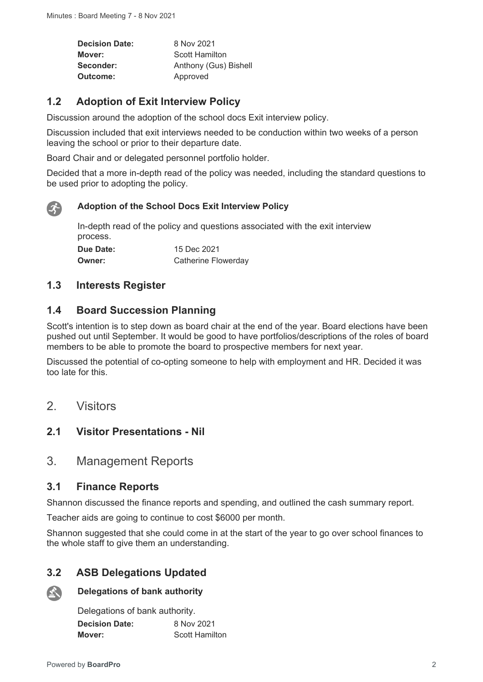**Decision Date:** 8 Nov 2021 **Mover:** Scott Hamilton **Seconder:** Anthony (Gus) Bishell **Outcome:** Approved

## **1.2 Adoption of Exit Interview Policy**

Discussion around the adoption of the school docs Exit interview policy.

Discussion included that exit interviews needed to be conduction within two weeks of a person leaving the school or prior to their departure date.

Board Chair and or delegated personnel portfolio holder.

Decided that a more in-depth read of the policy was needed, including the standard questions to be used prior to adopting the policy.



#### **Adoption of the School Docs Exit Interview Policy**

In-depth read of the policy and questions associated with the exit interview process. **Due Date:** 15 Dec 2021 **Owner:** Catherine Flowerday

## **1.3 Interests Register**

#### **1.4 Board Succession Planning**

Scott's intention is to step down as board chair at the end of the year. Board elections have been pushed out until September. It would be good to have portfolios/descriptions of the roles of board members to be able to promote the board to prospective members for next year.

Discussed the potential of co-opting someone to help with employment and HR. Decided it was too late for this.

2. Visitors

## **2.1 Visitor Presentations - Nil**

## 3. Management Reports

#### **3.1 Finance Reports**

Shannon discussed the finance reports and spending, and outlined the cash summary report.

Teacher aids are going to continue to cost \$6000 per month.

Shannon suggested that she could come in at the start of the year to go over school finances to the whole staff to give them an understanding.

## **3.2 ASB Delegations Updated**



#### **Delegations of bank authority**

Delegations of bank authority. **Decision Date:** 8 Nov 2021 **Mover:** Scott Hamilton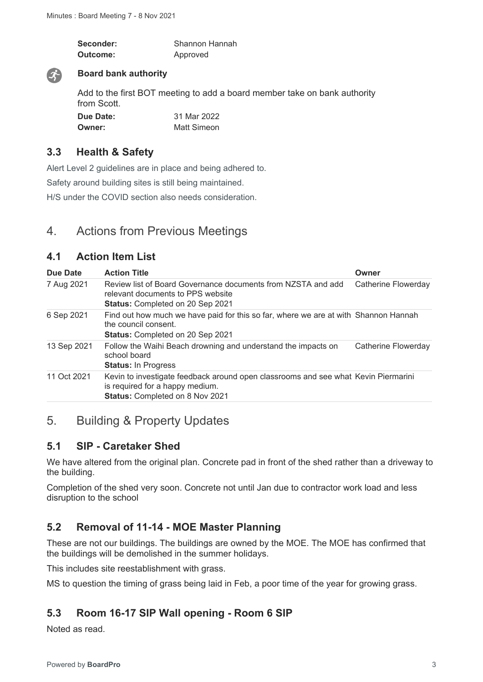| Seconder: | Shannon Hannah |
|-----------|----------------|
| Outcome:  | Approved       |



#### **Board bank authority**

Add to the first BOT meeting to add a board member take on bank authority from Scott.

| Due Date: | 31 Mar 2022 |
|-----------|-------------|
| Owner:    | Matt Simeon |

## **3.3 Health & Safety**

Alert Level 2 guidelines are in place and being adhered to.

Safety around building sites is still being maintained.

H/S under the COVID section also needs consideration.

# 4. Actions from Previous Meetings

## **4.1 Action Item List**

| Due Date    | <b>Action Title</b>                                                                                                                                      | Owner               |
|-------------|----------------------------------------------------------------------------------------------------------------------------------------------------------|---------------------|
| 7 Aug 2021  | Review list of Board Governance documents from NZSTA and add<br>relevant documents to PPS website<br><b>Status: Completed on 20 Sep 2021</b>             | Catherine Flowerday |
| 6 Sep 2021  | Find out how much we have paid for this so far, where we are at with Shannon Hannah<br>the council consent.<br><b>Status: Completed on 20 Sep 2021</b>   |                     |
| 13 Sep 2021 | Follow the Waihi Beach drowning and understand the impacts on<br>school board<br><b>Status: In Progress</b>                                              | Catherine Flowerday |
| 11 Oct 2021 | Kevin to investigate feedback around open classrooms and see what Kevin Piermarini<br>is required for a happy medium.<br>Status: Completed on 8 Nov 2021 |                     |

# 5. Building & Property Updates

## **5.1 SIP - Caretaker Shed**

We have altered from the original plan. Concrete pad in front of the shed rather than a driveway to the building.

Completion of the shed very soon. Concrete not until Jan due to contractor work load and less disruption to the school

# **5.2 Removal of 11-14 - MOE Master Planning**

These are not our buildings. The buildings are owned by the MOE. The MOE has confirmed that the buildings will be demolished in the summer holidays.

This includes site reestablishment with grass.

MS to question the timing of grass being laid in Feb, a poor time of the year for growing grass.

# **5.3 Room 16-17 SIP Wall opening - Room 6 SIP**

Noted as read.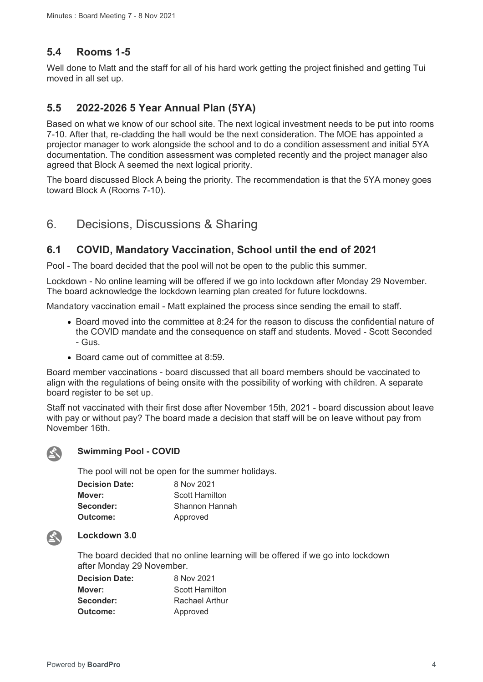## **5.4 Rooms 1-5**

Well done to Matt and the staff for all of his hard work getting the project finished and getting Tui moved in all set up.

## **5.5 2022-2026 5 Year Annual Plan (5YA)**

Based on what we know of our school site. The next logical investment needs to be put into rooms 7-10. After that, re-cladding the hall would be the next consideration. The MOE has appointed a projector manager to work alongside the school and to do a condition assessment and initial 5YA documentation. The condition assessment was completed recently and the project manager also agreed that Block A seemed the next logical priority.

The board discussed Block A being the priority. The recommendation is that the 5YA money goes toward Block A (Rooms 7-10).

# 6. Decisions, Discussions & Sharing

## **6.1 COVID, Mandatory Vaccination, School until the end of 2021**

Pool - The board decided that the pool will not be open to the public this summer.

Lockdown - No online learning will be offered if we go into lockdown after Monday 29 November. The board acknowledge the lockdown learning plan created for future lockdowns.

Mandatory vaccination email - Matt explained the process since sending the email to staff.

- Board moved into the committee at 8:24 for the reason to discuss the confidential nature of the COVID mandate and the consequence on staff and students. Moved - Scott Seconded - Gus.
- Board came out of committee at 8:59.

Board member vaccinations - board discussed that all board members should be vaccinated to align with the regulations of being onsite with the possibility of working with children. A separate board register to be set up.

Staff not vaccinated with their first dose after November 15th, 2021 - board discussion about leave with pay or without pay? The board made a decision that staff will be on leave without pay from November 16th.



#### **Swimming Pool - COVID**

The pool will not be open for the summer holidays.

| <b>Decision Date:</b> | 8 Nov 2021     |
|-----------------------|----------------|
| Mover:                | Scott Hamilton |
| Seconder:             | Shannon Hannah |
| Outcome:              | Approved       |



#### **Lockdown 3.0**

The board decided that no online learning will be offered if we go into lockdown after Monday 29 November.

| <b>Decision Date:</b> | 8 Nov 2021     |
|-----------------------|----------------|
| Mover:                | Scott Hamilton |
| Seconder:             | Rachael Arthur |
| Outcome:              | Approved       |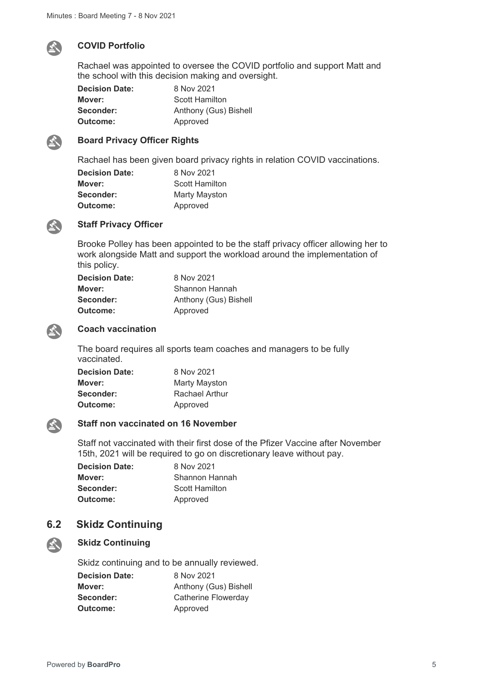

#### **COVID Portfolio**

Rachael was appointed to oversee the COVID portfolio and support Matt and the school with this decision making and oversight.

| <b>Decision Date:</b> | 8 Nov 2021            |
|-----------------------|-----------------------|
| Mover:                | Scott Hamilton        |
| Seconder:             | Anthony (Gus) Bishell |
| Outcome:              | Approved              |



#### **Board Privacy Officer Rights**

Rachael has been given board privacy rights in relation COVID vaccinations.

| <b>Decision Date:</b> | 8 Nov 2021            |
|-----------------------|-----------------------|
| Mover:                | <b>Scott Hamilton</b> |
| Seconder:             | <b>Marty Mayston</b>  |
| Outcome:              | Approved              |



#### **Staff Privacy Officer**

Brooke Polley has been appointed to be the staff privacy officer allowing her to work alongside Matt and support the workload around the implementation of this policy.

| <b>Decision Date:</b> | 8 Nov 2021            |
|-----------------------|-----------------------|
| Mover:                | Shannon Hannah        |
| Seconder:             | Anthony (Gus) Bishell |
| Outcome:              | Approved              |



#### **Coach vaccination**

The board requires all sports team coaches and managers to be fully vaccinated.

| <b>Decision Date:</b> | 8 Nov 2021     |
|-----------------------|----------------|
| Mover:                | Marty Mayston  |
| Seconder:             | Rachael Arthur |
| <b>Outcome:</b>       | Approved       |



#### **Staff non vaccinated on 16 November**

Staff not vaccinated with their first dose of the Pfizer Vaccine after November 15th, 2021 will be required to go on discretionary leave without pay.

| <b>Decision Date:</b> | 8 Nov 2021     |
|-----------------------|----------------|
| Mover:                | Shannon Hannah |
| Seconder:             | Scott Hamilton |
| <b>Outcome:</b>       | Approved       |

#### **6.2 Skidz Continuing**



#### **Skidz Continuing**

Skidz continuing and to be annually reviewed. **Decision Date:** 8 Nov 2021 **Mover:** Anthony (Gus) Bishell **Seconder:** Catherine Flowerday **Outcome:** Approved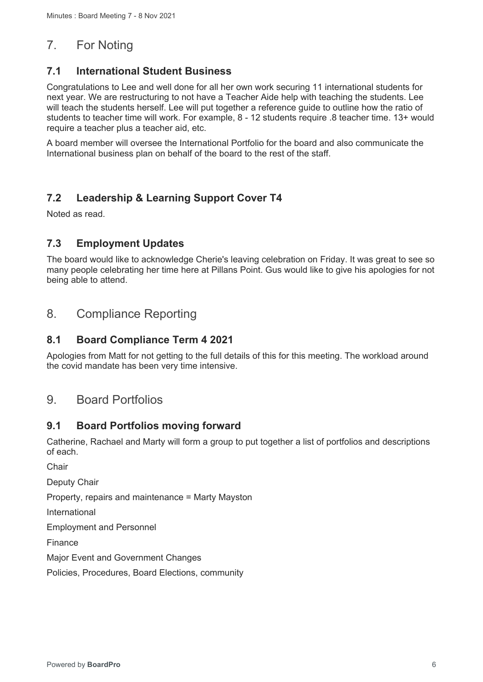# 7. For Noting

## **7.1 International Student Business**

Congratulations to Lee and well done for all her own work securing 11 international students for next year. We are restructuring to not have a Teacher Aide help with teaching the students. Lee will teach the students herself. Lee will put together a reference guide to outline how the ratio of students to teacher time will work. For example, 8 - 12 students require .8 teacher time. 13+ would require a teacher plus a teacher aid, etc.

A board member will oversee the International Portfolio for the board and also communicate the International business plan on behalf of the board to the rest of the staff.

# **7.2 Leadership & Learning Support Cover T4**

Noted as read.

## **7.3 Employment Updates**

The board would like to acknowledge Cherie's leaving celebration on Friday. It was great to see so many people celebrating her time here at Pillans Point. Gus would like to give his apologies for not being able to attend.

# 8. Compliance Reporting

## **8.1 Board Compliance Term 4 2021**

Apologies from Matt for not getting to the full details of this for this meeting. The workload around the covid mandate has been very time intensive.

# 9. Board Portfolios

## **9.1 Board Portfolios moving forward**

Catherine, Rachael and Marty will form a group to put together a list of portfolios and descriptions of each.

Chair

Deputy Chair

Property, repairs and maintenance = Marty Mayston

International

Employment and Personnel

Finance

Major Event and Government Changes

Policies, Procedures, Board Elections, community